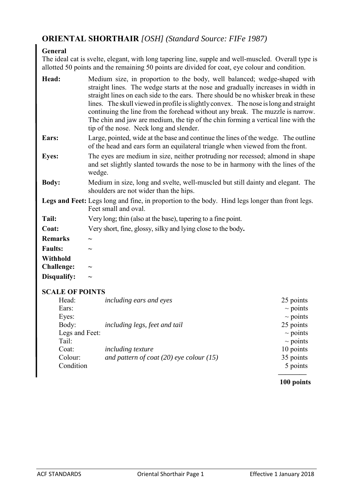# **ORIENTAL SHORTHAIR** *[OSH] (Standard Source: FIFe 1987)*

# **General**

The ideal cat is svelte, elegant, with long tapering line, supple and well-muscled. Overall type is allotted 50 points and the remaining 50 points are divided for coat, eye colour and condition.

| Head:                  | Medium size, in proportion to the body, well balanced; wedge-shaped with<br>straight lines. The wedge starts at the nose and gradually increases in width in<br>straight lines on each side to the ears. There should be no whisker break in these<br>lines. The skull viewed in profile is slightly convex. The nose is long and straight<br>continuing the line from the forehead without any break. The muzzle is narrow.<br>The chin and jaw are medium, the tip of the chin forming a vertical line with the<br>tip of the nose. Neck long and slender. |               |  |  |  |  |
|------------------------|--------------------------------------------------------------------------------------------------------------------------------------------------------------------------------------------------------------------------------------------------------------------------------------------------------------------------------------------------------------------------------------------------------------------------------------------------------------------------------------------------------------------------------------------------------------|---------------|--|--|--|--|
| Ears:                  | Large, pointed, wide at the base and continue the lines of the wedge. The outline<br>of the head and ears form an equilateral triangle when viewed from the front.                                                                                                                                                                                                                                                                                                                                                                                           |               |  |  |  |  |
| <b>Eyes:</b>           | The eyes are medium in size, neither protruding nor recessed; almond in shape<br>and set slightly slanted towards the nose to be in harmony with the lines of the<br>wedge.                                                                                                                                                                                                                                                                                                                                                                                  |               |  |  |  |  |
| <b>Body:</b>           | Medium in size, long and svelte, well-muscled but still dainty and elegant. The<br>shoulders are not wider than the hips.                                                                                                                                                                                                                                                                                                                                                                                                                                    |               |  |  |  |  |
|                        | Legs and Feet: Legs long and fine, in proportion to the body. Hind legs longer than front legs.<br>Feet small and oval.                                                                                                                                                                                                                                                                                                                                                                                                                                      |               |  |  |  |  |
| Tail:                  | Very long; thin (also at the base), tapering to a fine point.                                                                                                                                                                                                                                                                                                                                                                                                                                                                                                |               |  |  |  |  |
| Coat:                  | Very short, fine, glossy, silky and lying close to the body.                                                                                                                                                                                                                                                                                                                                                                                                                                                                                                 |               |  |  |  |  |
| <b>Remarks</b>         | $\widetilde{\phantom{m}}$                                                                                                                                                                                                                                                                                                                                                                                                                                                                                                                                    |               |  |  |  |  |
| <b>Faults:</b>         |                                                                                                                                                                                                                                                                                                                                                                                                                                                                                                                                                              |               |  |  |  |  |
| Withhold               |                                                                                                                                                                                                                                                                                                                                                                                                                                                                                                                                                              |               |  |  |  |  |
| <b>Challenge:</b>      |                                                                                                                                                                                                                                                                                                                                                                                                                                                                                                                                                              |               |  |  |  |  |
| Disqualify:            |                                                                                                                                                                                                                                                                                                                                                                                                                                                                                                                                                              |               |  |  |  |  |
| <b>SCALE OF POINTS</b> |                                                                                                                                                                                                                                                                                                                                                                                                                                                                                                                                                              |               |  |  |  |  |
| Head:                  | including ears and eyes                                                                                                                                                                                                                                                                                                                                                                                                                                                                                                                                      | 25 points     |  |  |  |  |
| Ears:                  |                                                                                                                                                                                                                                                                                                                                                                                                                                                                                                                                                              | $\sim$ points |  |  |  |  |
| Eyes:                  |                                                                                                                                                                                                                                                                                                                                                                                                                                                                                                                                                              | $\sim$ points |  |  |  |  |
| Body:                  | including legs, feet and tail                                                                                                                                                                                                                                                                                                                                                                                                                                                                                                                                | 25 points     |  |  |  |  |
| Legs and Feet:         |                                                                                                                                                                                                                                                                                                                                                                                                                                                                                                                                                              | $\sim$ points |  |  |  |  |
| Tail:                  |                                                                                                                                                                                                                                                                                                                                                                                                                                                                                                                                                              | $\sim$ points |  |  |  |  |
| Coat:                  | including texture                                                                                                                                                                                                                                                                                                                                                                                                                                                                                                                                            | 10 points     |  |  |  |  |
| Colour:                | and pattern of coat $(20)$ eye colour $(15)$                                                                                                                                                                                                                                                                                                                                                                                                                                                                                                                 | 35 points     |  |  |  |  |
| Condition              |                                                                                                                                                                                                                                                                                                                                                                                                                                                                                                                                                              | 5 points      |  |  |  |  |

# **———— 100 points**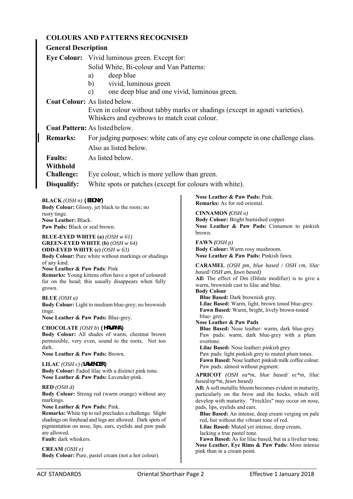|                                                                                                                             |                                                                                                                                | <b>COLOURS AND PATTERNS RECOGNISED</b>                                                                                                                        |                                                                                                            |  |  |  |
|-----------------------------------------------------------------------------------------------------------------------------|--------------------------------------------------------------------------------------------------------------------------------|---------------------------------------------------------------------------------------------------------------------------------------------------------------|------------------------------------------------------------------------------------------------------------|--|--|--|
|                                                                                                                             |                                                                                                                                | <b>General Description</b>                                                                                                                                    |                                                                                                            |  |  |  |
|                                                                                                                             |                                                                                                                                | Eye Colour: Vivid luminous green. Except for:                                                                                                                 |                                                                                                            |  |  |  |
|                                                                                                                             |                                                                                                                                | Solid White, Bi-colour and Van Patterns:                                                                                                                      |                                                                                                            |  |  |  |
|                                                                                                                             |                                                                                                                                | deep blue<br>a)                                                                                                                                               |                                                                                                            |  |  |  |
|                                                                                                                             |                                                                                                                                | vivid, luminous green<br>$\mathbf{b}$                                                                                                                         |                                                                                                            |  |  |  |
|                                                                                                                             |                                                                                                                                | one deep blue and one vivid, luminous green.<br>$\mathbf{c})$                                                                                                 |                                                                                                            |  |  |  |
|                                                                                                                             |                                                                                                                                | <b>Coat Colour:</b> As listed below.                                                                                                                          |                                                                                                            |  |  |  |
|                                                                                                                             |                                                                                                                                | Even in colour without tabby marks or shadings (except in agouti varieties).<br>Whiskers and eyebrows to match coat colour.<br>Coat Pattern: As listed below. |                                                                                                            |  |  |  |
|                                                                                                                             |                                                                                                                                |                                                                                                                                                               |                                                                                                            |  |  |  |
|                                                                                                                             | <b>Remarks:</b><br>For judging purposes: white cats of any eye colour compete in one challenge class.<br>Also as listed below. |                                                                                                                                                               |                                                                                                            |  |  |  |
|                                                                                                                             |                                                                                                                                |                                                                                                                                                               |                                                                                                            |  |  |  |
|                                                                                                                             |                                                                                                                                |                                                                                                                                                               |                                                                                                            |  |  |  |
|                                                                                                                             | <b>Faults:</b><br>Withhold                                                                                                     | As listed below.                                                                                                                                              |                                                                                                            |  |  |  |
|                                                                                                                             | <b>Challenge:</b>                                                                                                              | Eye colour, which is more yellow than green.                                                                                                                  |                                                                                                            |  |  |  |
|                                                                                                                             | Disqualify:                                                                                                                    | White spots or patches (except for colours with white).                                                                                                       |                                                                                                            |  |  |  |
|                                                                                                                             |                                                                                                                                |                                                                                                                                                               |                                                                                                            |  |  |  |
|                                                                                                                             | <b>BLACK</b> ( <i>OSH n</i> ) (EBONY)                                                                                          |                                                                                                                                                               | Nose Leather & Paw Pads: Pink.<br><b>Remarks:</b> As for red oriental.                                     |  |  |  |
|                                                                                                                             |                                                                                                                                | Body Colour: Glossy, jet black to the roots; no                                                                                                               | CINNAMON $(OSH\, o)$                                                                                       |  |  |  |
| rusty tinge.<br>Nose Leather: Black.                                                                                        |                                                                                                                                |                                                                                                                                                               | Body Colour: Bright burnished copper.                                                                      |  |  |  |
|                                                                                                                             | Paw Pads: Black or seal brown.                                                                                                 |                                                                                                                                                               | Nose Leather & Paw Pads: Cinnamon to pinkish<br>brown.                                                     |  |  |  |
|                                                                                                                             |                                                                                                                                | <b>BLUE-EYED WHITE</b> (a) $(OSH \le 61)$                                                                                                                     |                                                                                                            |  |  |  |
|                                                                                                                             |                                                                                                                                | <b>GREEN-EYED WHITE (b)</b> $(OSH \, w \, 64)$<br><b>ODD-EYED WHITE (c)</b> (OSH $w$ 63)                                                                      | <b>FAWN</b> ( <i>OSH</i> $p$ )<br>Body Colour: Warm rosy mushroom.                                         |  |  |  |
| Body Colour: Pure white without markings or shadings                                                                        |                                                                                                                                |                                                                                                                                                               | Nose Leather & Paw Pads: Pinkish fawn.                                                                     |  |  |  |
| of any kind.<br>Nose Leather & Paw Pads: Pink                                                                               |                                                                                                                                |                                                                                                                                                               | <b>CARAMEL</b> (OSH pm, blue based / OSH cm, lilac                                                         |  |  |  |
| Remarks: Young kittens often have a spot of coloured                                                                        |                                                                                                                                |                                                                                                                                                               | based/OSH am, fawn based)<br>All: The effect of Dm (Dilute modifier) is to give a                          |  |  |  |
| fur on the head; this usually disappears when fully<br>grown.                                                               |                                                                                                                                |                                                                                                                                                               | warm, brownish cast to lilac and blue.                                                                     |  |  |  |
| <b>BLUE</b> (OSH $a$ )                                                                                                      |                                                                                                                                |                                                                                                                                                               | <b>Body Colour</b><br>Blue Based: Dark brownish grey.                                                      |  |  |  |
| Body Colour: Light to medium blue-grey; no brownish                                                                         |                                                                                                                                |                                                                                                                                                               | Lilac Based: Warm, light, brown toned blue-grey.                                                           |  |  |  |
| tinge.<br>Nose Leather & Paw Pads: Blue-grey.                                                                               |                                                                                                                                |                                                                                                                                                               | Fawn Based: Warm, bright, lively brown-toned<br>blue-grey.                                                 |  |  |  |
|                                                                                                                             |                                                                                                                                |                                                                                                                                                               | Nose Leather & Paw Pads                                                                                    |  |  |  |
| CHOCOLATE (OSH b) (HAVANA)<br>Body Colour: All shades of warm, chestnut brown                                               |                                                                                                                                |                                                                                                                                                               | Blue Based: Nose leather: warm, dark blue-grey.<br>Paw pads: warm, dark blue-grey with a plum              |  |  |  |
|                                                                                                                             | permissible, very even, sound to the roots. Not too                                                                            |                                                                                                                                                               | overtone.                                                                                                  |  |  |  |
| dark.<br>Nose Leather & Paw Pads: Brown.                                                                                    |                                                                                                                                |                                                                                                                                                               | Lilac Based: Nose leather: pinkish grey.<br>Paw pads: light pinkish grey to muted plum tones.              |  |  |  |
| LILAC $(OSH\ c)$ (LAVENDER)                                                                                                 |                                                                                                                                |                                                                                                                                                               | Fawn Based: Nose leather: pinkish milk coffee colour.                                                      |  |  |  |
| Body Colour: Faded lilac with a distinct pink tone.                                                                         |                                                                                                                                |                                                                                                                                                               | Paw pads: almost without pigment.<br>APRICOT (OSH ea*m, blue based/ ec*m, lilac                            |  |  |  |
|                                                                                                                             |                                                                                                                                | Nose Leather & Paw Pads: Lavender-pink.                                                                                                                       | based/ep*m, fawn based)                                                                                    |  |  |  |
| RED (OSH d)                                                                                                                 |                                                                                                                                |                                                                                                                                                               | All: A soft metallic bloom becomes evident in maturity,                                                    |  |  |  |
| Body Colour: Strong red (warm orange) without any<br>markings.                                                              |                                                                                                                                |                                                                                                                                                               | particularly on the brow and the hocks, which will<br>develop with maturity. "Freckles" may occur on nose, |  |  |  |
|                                                                                                                             | Nose Leather & Paw Pads: Pink.                                                                                                 |                                                                                                                                                               | pads, lips, eyelids and ears.                                                                              |  |  |  |
| <b>Remarks:</b> White tip to tail precludes a challenge. Slight<br>shadings on forehead and legs are allowed. Dark spots of |                                                                                                                                |                                                                                                                                                               | Blue Based: An intense, deep cream verging on pale<br>red, but without the vibrant tone of red.            |  |  |  |
| pigmentation on nose, lips, ears, eyelids and paw pads                                                                      |                                                                                                                                |                                                                                                                                                               | Lilac Based: Muted yet intense, deep cream,                                                                |  |  |  |
| are allowed.<br><b>Fault:</b> dark whiskers.                                                                                |                                                                                                                                |                                                                                                                                                               | lacking a true pastel tone.<br>Fawn Based: As for lilac based, but in a livelier tone.                     |  |  |  |
|                                                                                                                             | <b>CREAM</b> ( <i>OSH e</i> )                                                                                                  |                                                                                                                                                               | Nose Leather, Eye Rims & Paw Pads: More intense                                                            |  |  |  |
|                                                                                                                             |                                                                                                                                | Body Colour: Pure, pastel cream (not a hot colour).                                                                                                           | pink than in a cream point.                                                                                |  |  |  |
|                                                                                                                             |                                                                                                                                |                                                                                                                                                               |                                                                                                            |  |  |  |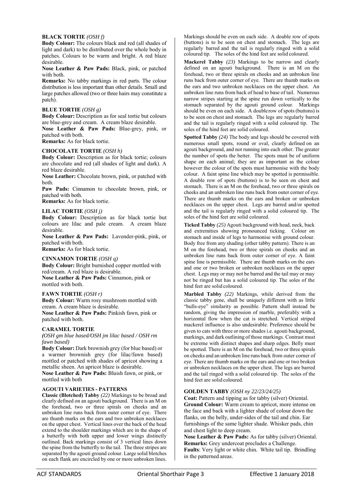### **BLACK TORTIE** *(OSH f)*

**Body Colour:** The colours black and red (all shades of light and dark) to be distributed over the whole body in patches. Colours to be warm and bright. A red blaze desirable.

**Nose Leather & Paw Pads:** Black, pink, or patched with both.

**Remarks:** No tabby markings in red parts. The colour distribution is less important than other details. Small and large patches allowed (two or three hairs may constitute a patch).

### **BLUE TORTIE** *(OSH g)*

**Body Colour:** Description as for seal tortie but colours are blue-grey and cream. A cream blaze desirable. **Nose Leather & Paw Pads:** Blue-grey, pink, or patched with both.

**Remarks:** As for black tortie.

### **CHOCOLATE TORTIE** *(OSH h)*

**Body Colour:** Description as for black tortie; colours are chocolate and red (all shades of light and dark). A red blaze desirable.

**Nose Leather:** Chocolate brown, pink, or patched with both.

Paw Pads: Cinnamon to chocolate brown, pink, or patched with both.

**Remarks:** As for black tortie.

### **LILAC TORTIE** *(OSH j)*

**Body Colour:** Description as for black tortie but colours are lilac and pale cream. A cream blaze desirable.

**Nose Leather & Paw Pads:** Lavender-pink, pink, or patched with both.

**Remarks:** As for black tortie.

### **CINNAMON TORTIE** *(OSH q)*

**Body Colour:** Bright burnished copper mottled with red/cream. A red blaze is desirable. **Nose Leather & Paw Pads:** Cinnamon, pink or mottled with both.

### **FAWN TORTIE** *(OSH r)*

**Body Colour:** Warm rosy mushroom mottled with cream. A cream blaze is desirable. **Nose Leather & Paw Pads:** Pinkish fawn, pink or patched with both.

# **CARAMEL TORTIE**

*(OSH gm blue based/OSH jm lilac based / OSH rm fawn based)* 

**Body Colour:** Dark brownish grey (for blue based) or a warmer brownish grey (for lilac/fawn based) mottled or patched with shades of apricot showing a metallic sheen. An apricot blaze is desirable.

**Nose Leather & Paw Pads:** Bluish fawn, or pink, or mottled with both

### **AGOUTI VARIETIES - PATTERNS**

**Classic (Blotched) Tabby** *(22)* Markings to be broad and clearly defined on an agouti background. There is an M on the forehead, two or three spirals on cheeks and an unbroken line runs back from outer corner of eye. There are thumb marks on the ears and two unbroken necklaces on the upper chest. Vertical lines over the back of the head extend to the shoulder markings which are in the shape of a butterfly with both upper and lower wings distinctly outlined. Back markings consist of 3 vertical lines down the spine from the butterfly to the tail. The three stripes are separated by the agouti ground colour. Large solid blotches on each flank are encircled by one or more unbroken lines.

Markings should be even on each side. A double row of spots (buttons) is to be seen on chest and stomach. The legs are regularly barred and the tail is regularly ringed with a solid coloured tip. The soles of the hind feet are solid coloured.

**Mackerel Tabby** *(23)* Markings to be narrow and clearly defined on an agouti background. There is an M on the forehead, two or three spirals on cheeks and an unbroken line runs back from outer corner of eye. There are thumb marks on the ears and two unbroken necklaces on the upper chest. An unbroken line runs from back of head to base of tail. Numerous narrow stripes starting at the spine run down vertically to the stomach separated by the agouti ground colour. Markings should be even on each side. A doublerow of spots (buttons) is to be seen on chest and stomach. The legs are regularly barred and the tail is regularly ringed with a solid coloured tip. The soles of the hind feet are solid coloured.

**Spotted Tabby** *(24)* The body and legs should be covered with numerous small spots, round or oval, clearly defined on an agouti background, and not running into each other. The greater the number of spots the better. The spots must be of uniform shape on each animal; they are as important as the colour however the colour of the spots must harmonise with the body colour. A faint spine line which may be spotted is permissible. A double row of spots (buttons) is to be seen on chest and stomach. There is an M on the forehead, two or three spirals on cheeks and an unbroken line runs back from outer corner of eye. There are thumb marks on the ears and broken or unbroken necklaces on the upper chest. Legs are barred and/or spotted and the tail is regularly ringed with a solid coloured tip. The soles of the hind feet are solid coloured.

**Ticked Tabby** *(25)* Agouti background with head, neck, back and extremities showing pronounced ticking. Colour on stomach and inside of legs to harmonise with ground colour. Body free from any shading (other tabby pattern). There is an M on the forehead, two or three spirals on cheeks and an unbroken line runs back from outer corner of eye. A faint spine line is permissible. There are thumb marks on the ears and one or two broken or unbroken necklaces on the upper chest. Legs may or may not be barred and the tail may or may not be ringed but has a solid coloured tip. The soles of the hind feet are solid coloured.

**Marbled Tabby** *(22)* Markings, while derived from the classic tabby gene, shall be uniquely different with as little "bulls-eye" similarity as possible. Pattern shall instead be random, giving the impression of marble, preferably with a horizontal flow when the cat is stretched. Vertical striped mackerel influence is also undesirable. Preference should be given to cats with three or more shades i.e. agouti background, markings, and dark outlining of those markings. Contrast must be extreme with distinct shapes and sharp edges. Belly must be spotted. There is an M on the forehead, two or three spirals on cheeks and an unbroken line runs back from outer corner of eye. There are thumb marks on the ears and one or two broken or unbroken necklaces on the upper chest. The legs are barred and the tail ringed with a solid coloured tip. The soles of the hind feet are solid coloured.

# **GOLDEN TABBY** *(OSH ny 22/23/24/25)*

**Coat:** Pattern and tipping as for tabby (silver) Oriental. **Ground Colour:** Warm cream to apricot, more intense on the face and back with a lighter shade of colour down the flanks, on the belly, under-sides of the tail and chin. Ear furnishings of the same lighter shade. Whisker pads, chin and chest light to deep cream.

**Nose Leather & Paw Pads:** As for tabby (silver) Oriental. **Remarks:** Grey undercoat precludes a Challenge.

**Faults**: Very light or white chin. White tail tip. Brindling in the patterned areas.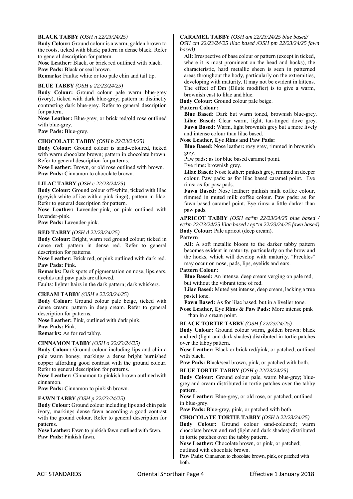# **BLACK TABBY** *(OSH n 22/23/24/25)*

**Body Colour:** Ground colour is a warm, golden brown to the roots, ticked with black; pattern in dense black. Refer to general description for pattern.

**Nose Leather:** Black, or brick red outlined with black. **Paw Pads:** Black or seal brown.

**Remarks:** Faults: white or too pale chin and tail tip.

### **BLUE TABBY** *(OSH a 22/23/24/25)*

**Body Colour:** Ground colour pale warm blue-grey (ivory), ticked with dark blue-grey; pattern in distinctly contrasting dark blue-grey. Refer to general description for pattern.

**Nose Leather:** Blue-grey, or brick red/old rose outlined with blue-grey.

**Paw Pads:** Blue-grey.

### **CHOCOLATE TABBY** *(OSH b 22/23/24/25)*

**Body Colour:** Ground colour is sand-coloured, ticked with warm chocolate brown; pattern in chocolate brown. Refer to general description for patterns.

**Nose Leather:** Brown, or old rose outlined with brown. **Paw Pads:** Cinnamon to chocolate brown.

### **LILAC TABBY** *(OSH c 22/23/24/25)*

**Body Colour:** Ground colour off-white, ticked with lilac (greyish white of ice with a pink tinge); pattern in lilac. Refer to general description for pattern.

**Nose Leather:** Lavender-pink, or pink outlined with lavender-pink.

**Paw Pads:** Lavender-pink.

### **RED TABBY** *(OSH d 22/23/24/25)*

**Body Colour:** Bright, warm red ground colour; ticked in dense red; pattern in dense red. Refer to general description for patterns.

**Nose Leather:** Brick red, or pink outlined with dark red. **Paw Pads:** Pink.

**Remarks:** Dark spots of pigmentation on nose, lips, ears, eyelids and paw pads are allowed.

Faults: lighter hairs in the dark pattern; dark whiskers.

# **CREAM TABBY** *(OSH e 22/23/24/25)*

**Body Colour:** Ground colour pale beige, ticked with dense cream; pattern in deep cream. Refer to general description for patterns.

**Nose Leather:** Pink, outlined with dark pink.

**Paw Pads:** Pink.

**Remarks:** As for red tabby.

# **CINNAMON TABBY** *(OSH o 22/23/24/25)*

**Body Colour:** Ground colour including lips and chin a pale warm honey, markings a dense bright burnished copper affording good contrast with the ground colour. Refer to general description for patterns.

**Nose Leather:** Cinnamon to pinkish brown outlined with cinnamon.

**Paw Pads:** Cinnamon to pinkish brown.

### **FAWN TABBY** *(OSH p 22/23/24/25)*

**Body Colour:** Ground colour including lips and chin pale ivory, markings dense fawn according a good contrast with the ground colour. Refer to general description for patterns.

**Nose Leather:** Fawn to pinkish fawn outlined with fawn. **Paw Pads:** Pinkish fawn.

# **CARAMEL TABBY** *(OSH am 22/23/24/25 blue based/*

*OSH cm 22/23/24/25 lilac based /OSH pm 22/23/24/25 fawn based)* 

**All:** Irrespective of base colour or pattern (except in ticked, where it is most prominent on the head and hocks), the characteristic, hard metallic sheen is seen in patterned areas throughout the body, particularly on the extremities, developing with maturity. It may not be evident in kittens. The effect of Dm (Dilute modifier) is to give a warm, brownish cast to lilac and blue.

**Body Colour:** Ground colour pale beige.

# **Pattern Colour:**

**Blue Based:** Dark but warm toned, brownish blue-grey. Lilac Based: Clear warm, light, tan-tinged dove grey. **Fawn Based:** Warm, light brownish grey but a more lively and intense colour than lilac based.

# **Nose Leather, Eye Rims and Paw Pads:**

**Blue Based:** Nose leather**:** rosy grey, rimmed in brownish grey.

Paw pads**:** as for blue based caramel point.

Eye rims**:** brownish grey.

**Lilac Based:** Nose leather**:** pinkish grey, rimmed in deeper colour. Paw pads**:** as for lilac based caramel point. Eye rims**:** as for paw pads.

**Fawn Based:** Nose leather**:** pinkish milk coffee colour, rimmed in muted milk coffee colour. Paw pads**:** as for fawn based caramel point. Eye rims**:** a little darker than paw pads.

**APRICOT TABBY** *(OSH ea\*m 22/23/24/25 blue based / ec\*m 22/23/24/25 lilac based / ep\*m 22/23/24/25 fawn based)* 

**Body Colour:** Pale apricot (deep cream).

**Pattern** 

**All:** A soft metallic bloom to the darker tabby pattern becomes evident in maturity, particularly on the brow and the hocks, which will develop with maturity. "Freckles" may occur on nose, pads, lips, eyelids and ears.

**Pattern Colour:** 

**Blue Based:** An intense, deep cream verging on pale red, but without the vibrant tone of red.

**Lilac Based:** Muted yet intense, deep cream, lacking a true pastel tone.

**Fawn Based:** As for lilac based, but in a livelier tone.

**Nose Leather, Eye Rims & Paw Pads:** More intense pink than in a cream point.

# **BLACK TORTIE TABBY** *(OSH f 22/23/24/25)*

**Body Colour:** Ground colour warm, golden brown; black and red (light and dark shades) distributed in tortie patches over the tabby pattern.

**Nose Leather:** Black or brick red/pink, or patched; outlined with black.

Paw Pads: Black/seal brown, pink, or patched with both.

**BLUE TORTIE TABBY** *(OSH g 22/23/24/25)* 

**Body Colour:** Ground colour pale, warm blue-grey; bluegrey and cream distributed in tortie patches over the tabby pattern.

**Nose Leather:** Blue-grey, or old rose, or patched; outlined in blue-grey.

**Paw Pads:** Blue-grey, pink, or patched with both.

**CHOCOLATE TORTIE TABBY** *(OSH b 22/23/24/25)* 

**Body Colour:** Ground colour sand-coloured; warm chocolate brown and red (light and dark shades) distributed in tortie patches over the tabby pattern.

**Nose Leather:** Chocolate brown, or pink, or patched;

outlined with chocolate brown.

Paw Pads: Cinnamon to chocolate brown, pink, or patched with both.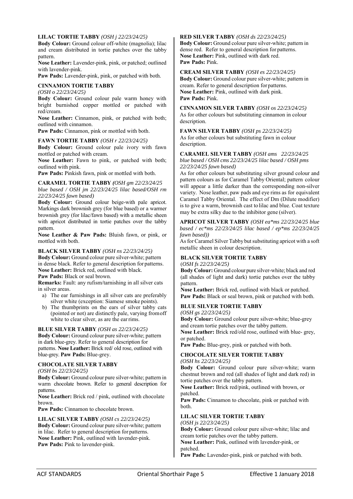# **LILAC TORTIE TABBY** *(OSH j 22/23/24/25)*

**Body Colour:** Ground colour off-white (magnolia); lilac and cream distributed in tortie patches over the tabby pattern.

**Nose Leather:** Lavender-pink, pink, or patched; outlined with lavender-pink.

Paw Pads: Lavender-pink, pink, or patched with both.

# **CINNAMON TORTIE TABBY**

*(OSH o 22/23/24/25)* 

**Body Colour:** Ground colour pale warm honey with bright burnished copper mottled or patched with red/cream.

**Nose Leather:** Cinnamon, pink, or patched with both; outlined with cinnamon.

Paw Pads: Cinnamon, pink or mottled with both.

# **FAWN TORTIE TABBY** *(OSH r 22/23/24/25)*

**Body Colour:** Ground colour pale ivory with fawn mottled or patched with cream.

**Nose Leather:** Fawn to pink, or patched with both; outlined with pink.

Paw Pads: Pinkish fawn, pink or mottled with both.

### **CARAMEL TORTIE TABBY** *(OSH gm 22/23/24/25 blue based / OSH jm 22/23/24/25 lilac based/OSH rm*

*22/23/24/25 fawn based)*  **Body Colour:** Ground colour beige-with pale apricot.

Markings dark brownish grey (for blue based) or a warmer brownish grey (for lilac/fawn based) with a metallic sheen with apricot distributed in tortie patches over the tabby pattern.

**Nose Leather & Paw Pads:** Bluish fawn, or pink, or mottled with both.

# **BLACK SILVER TABBY** *(OSH ns 22/23/24/25)*

**Body Colour:** Ground colour pure silver-white; pattern in dense black. Refer to general description for patterns. **Nose Leather:** Brick red, outlined with black. Paw Pads: Black or seal brown.

**Remarks:** Fault: any rufism/tarnishing in all silver cats in silver areas.

- a) The ear furnishings in all silver cats are preferably silver white (exception: Siamese smoke points).
- b) The thumbprints on the ears of silver tabby cats (pointed or not) are distinctly pale, varying from off white to clear silver, as are the ear rims.

# **BLUE SILVER TABBY** *(OSH as 22/23/24/25)*

**Body Colour:** Ground colour pure silver-white; pattern in dark blue-grey. Refer to general description for patterns. **Nose Leather:** Brick red/ old rose, outlined with blue-grey. **Paw Pads:** Blue-grey.

# **CHOCOLATE SILVER TABBY**

*(OSH bs 22/23/24/25)* 

**Body Colour:** Ground colour pure silver-white; pattern in warm chocolate brown. Refer to general description for patterns.

**Nose Leather:** Brick red / pink, outlined with chocolate brown.

Paw Pads: Cinnamon to chocolate brown.

# **LILAC SILVER TABBY** *(OSH cs 22/23/24/25)*

**Body Colour:** Ground colour pure silver-white; pattern in lilac. Refer to general description for patterns. **Nose Leather:** Pink, outlined with lavender-pink. Paw Pads: Pink to lavender-pink.

# **RED SILVER TABBY** *(OSH ds 22/23/24/25)*

**Body Colour:** Ground colour pure silver-white; pattern in dense red. Refer to general description for patterns. **Nose Leather:** Pink, outlined with dark red. **Paw Pads:** Pink.

**CREAM SILVER TABBY** *(OSH es 22/23/24/25)*  **Body Colour:** Ground colour pure silver-white; pattern in cream. Refer to general description for patterns. **Nose Leather:** Pink, outlined with dark pink. **Paw Pads:** Pink.

**CINNAMON SILVER TABBY** *(OSH os 22/23/24/25)*  As for other colours but substituting cinnamon in colour description.

**FAWN SILVER TABBY** *(OSH ps 22/23/24/25)*  As for other colours but substituting fawn in colour description.

### **CARAMEL SILVER TABBY** *(OSH ams 22/23/24/25 blue based / OSH cms 22/23/24/25 lilac based / OSH pms 22/23/24/25 fawn based)*

As for other colours but substituting silver ground colour and pattern colours as for Caramel Tabby Oriental; pattern colour will appear a little darker than the corresponding non-silver variety. Nose leather, paw pads and eye rims as for equivalent Caramel Tabby Oriental. The effect of Dm (Dilute modifier) is to give a warm, brownish cast to lilac and blue. Coat texture may be extra silky due to the inhibitor gene (silver).

### **APRICOT SILVER TABBY** *(OSH ea\*ms 22/23/24/25 blue based / ec\*ms 22/23/24/25 lilac based / ep\*ms 22/23/24/25 fawn based))*

As for Caramel Silver Tabby but substituting apricot with a soft metallic sheen in colour description.

# **BLACK SILVER TORTIE TABBY**

(*OSH fs 22/23/24/25)* 

**Body Colour:** Ground colour pure silver-white; black and red (all shades of light and dark) tortie patches over the tabby pattern.

**Nose Leather:** Brick red, outlined with black or patched. Paw Pads: Black or seal brown, pink or patched with both.

# **BLUE SILVER TORTIE TABBY**

*(OSH gs 22/23/24/25)* 

**Body Colour:** Ground colour pure silver-white; blue-grey and cream tortie patches over the tabby pattern.

**Nose Leather:** Brick red/old rose, outlined with blue- grey, or patched.

**Paw Pads:** Blue-grey, pink or patched with both.

# **CHOCOLATE SILVER TORTIE TABBY**

# *(OSH hs 22/23/24/25)*

**Body Colour:** Ground colour pure silver-white; warm chestnut brown and red (all shades of light and dark red) in tortie patches over the tabby pattern.

**Nose Leather:** Brick red/pink, outlined with brown, or patched.

Paw Pads: Cinnamon to chocolate, pink or patched with both.

### **LILAC SILVER TORTIE TABBY**  *(OSH js 22/23/24/25)*

**Body Colour:** Ground colour pure silver-white; lilac and cream tortie patches over the tabby pattern. **Nose Leather:** Pink, outlined with lavender-pink, or patched. Paw Pads: Lavender-pink, pink or patched with both.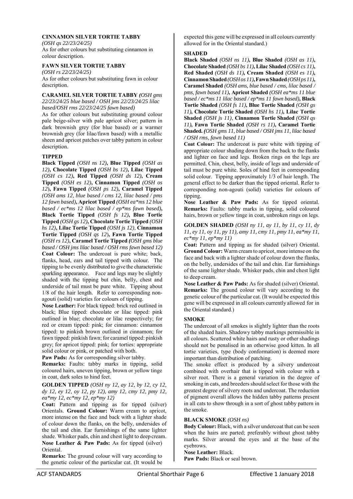# **CINNAMON SILVER TORTIE TABBY**

*(OSH qs 22/23/24/25)*  As for other colours but substituting cinnamon in colour description.

# **FAWN SILVER TORTIE TABBY**

*(OSH rs 22/23/24/25)*  As for other colours but substituting fawn in colour description.

# **CARAMEL SILVER TORTIE TABBY** *(OSH gms*

*22/23/24/25 blue based / OSH jms 22/23/24/25 lilac based/OSH rms 22/23/24/25 fawn based)* 

As for other colours but substituting ground colour pale beige-silver with pale apricot silver; pattern in dark brownish grey (for blue based) or a warmer brownish grey (for lilac/fawn based) with a metallic sheen and apricot patches over tabby pattern in colour description.

# **TIPPED**

**Black Tipped** *(OSH ns 12)***, Blue Tipped** *(OSH as 12)***, Chocolate Tipped** *(OSH bs 12)***, Lilac Tipped**  *(OSH cs 12)***, Red Tipped** *(OSH ds 12)***, Cream Tipped** *(OSH es 12)***, Cinnamon Tipped** *(OSH os 12*)**, Fawn Tipped** *(OSH ps 12)***, Caramel Tipped**  *(OSH ams 12, blue based / cms 12, lilac based / pms 12 fawn based)***, Apricot Tipped** *(OSH ea\*ms 12 blue based / ec\*ms 12 lilac based / ep\*ms fawn based)***, Black Tortie Tipped** *(OSH fs 12)***, Blue Tortie Tipped** *(OSH gs 12)***, Chocolate Tortie Tipped** *(OSH hs 12)***, Lilac Tortie Tipped** *(OSH js 12)*, **Cinnamon Tortie Tipped** *(OSH qs 12*)**, Fawn Tortie Tipped**  *(OSH rs 12)***, Caramel Tortie Tipped** *(OSH gms blue based / OSH jms lilac based / OSH rms fawn based 12)*  **Coat Colour:** The undercoat is pure white; back, flanks, head, ears and tail tipped with colour. The tipping to be evenly distributed to give the characteristic sparkling appearance. Face and legs may be slightly shaded with the tipping but chin, belly, chest and underside of tail must be pure white. Tipping about 1/8 of the hair length. Refer to corresponding nonagouti (solid) varieties for colours of tipping.

**Nose Leather:** For black tipped: brick red outlined in black; Blue tipped: chocolate or lilac tipped: pink outlined in blue; chocolate or lilac respectively; for red or cream tipped: pink; for cinnamon: cinnamon tipped: to pinkish brown outlined in cinnamon; for fawn tipped: pinkish fawn; for caramel tipped: pinkish grey; for apricot tipped: pink; for torties: appropriate solid colour or pink, or patched with both.

Paw Pads: As for corresponding silver tabby.

**Remarks:** Faults: tabby marks in tipping, solid coloured hairs, uneven tipping, brown or yellow tinge in coat, dark soles to hind feet.

**GOLDEN TIPPED** *(OSH ny 12, ay 12, by 12, cy 12, dy 12, ey 12, oy 12, py 12), amy 12, cmy 12, pmy 12, ea\*my 12, ec\*my 12, ep\*my 12)* 

**Coat:** Pattern and tipping as for tipped (silver) Orientals. **Ground Colour:** Warm cream to apricot, more intense on the face and back with a lighter shade of colour down the flanks, on the belly, undersides of the tail and chin. Ear furnishings of the same lighter shade. Whisker pads, chin and chest light to deep cream. **Nose Leather & Paw Pads:** As for tipped (silver) Oriental.

**Remarks:** The ground colour will vary according to the genetic colour of the particular cat. (It would be

expected this gene will be expressed in all colours currently allowed for in the Oriental standard.)

# **SHADED**

**Black Shaded** *(OSH ns 11)***, Blue Shaded** *(OSH as 11)***, Chocolate Shaded** *(OSH bs 11)***, Lilac Shaded** *(OSH cs 11)***, Red Shaded** *(OSH ds 11)***, Cream Shaded** *(OSH es 11)***, Cinnamon Shaded** *(OSH os 11)***, Fawn Shaded** *(OSH ps 11)***, Caramel Shaded** *(OSH ams, blue based / cms, lilac based / pms, fawn based 11)***, Apricot Shaded** *(OSH ea\*ms 11 blue based / ec\*ms 11 lilac based / ep\*ms 11 fawn based)***, Black Tortie Shaded** *(OSH fs 11)***, Blue Tortie Shaded** *(OSH gs 11)***, Chocolate Tortie Shaded** *(OSH hs 11)***, Lilac Tortie Shaded** *(OSH js 11)*, **Cinnamon Tortie Shaded** *(OSH qs 11)***, Fawn Tortie Shaded** *(OSH rs 11)***, Caramel Tortie Shaded.** *(OSH gms 11, blue based / OSH jms 11, lilac based / OSH rms, fawn based 11)* 

**Coat Colour:** The undercoat is pure white with tipping of appropriate colour shading down from the back to the flanks and lighter on face and legs. Broken rings on the legs are permitted. Chin, chest, belly, inside of legs and underside of tail must be pure white. Soles of hind feet in corresponding solid colour.Tipping approximately 1/3 of hair length. The general effect to be darker than the tipped oriental. Refer to corresponding non-agouti (solid) varieties for colours of tipping.

**Nose Leather & Paw Pads:** As for tipped oriental. **Remarks:** Faults: tabby marks in tipping, solid coloured hairs, brown or yellow tinge in coat, unbroken rings on legs.

**GOLDEN SHADED** *(OSH ny 11, ay 11, by 11, cy 11, dy 11, ey 11, oy 11, py 11), amy 11, cmy 11, pmy 11, ea\*my 11, ec\*my 11, ep\*my 11)* 

**Coat:** Pattern and tipping as for shaded (silver) Oriental. **Ground Colour:** Warm cream to apricot, more intense on the face and back with a lighter shade of colour down the flanks, on the belly, undersides of the tail and chin. Ear furnishings of the same lighter shade. Whisker pads, chin and chest light to deep cream.

**Nose Leather & Paw Pads:** As for shaded (silver) Oriental. **Remarks:** The ground colour will vary according to the genetic colour of the particular cat. (It would be expected this gene will be expressed in all colours currently allowed for in the Oriental standard.)

# **SMOKE**

The undercoat of all smokes is slightly lighter than the roots of the shaded hairs. Shadowy tabby markings permissible in all colours. Scattered white hairs and rusty or other shadings should not be penalised in an otherwise good kitten. In all tortie varieties, type (body conformation) is deemed more important than distribution of patching.

The smoke effect is produced by a silvery undercoat combined with overhair that is tipped with colour with a silver root. There is a general variation in the degree of smoking in cats, and breeders should select for those with the greatest degree of silvery roots and undercoat. The reduction of pigment overall allows the hidden tabby patterns present in all cats to show through in a sort of ghost tabby pattern in the smoke.

# **BLACK SMOKE** *(OSH ns)*

**Body Colour:** Black, with a silver undercoat that can be seen when the hairs are parted; preferably without ghost tabby marks. Silver around the eyes and at the base of the eyebrows.

# **Nose Leather:** Black.

**Paw Pads:** Black or seal brown.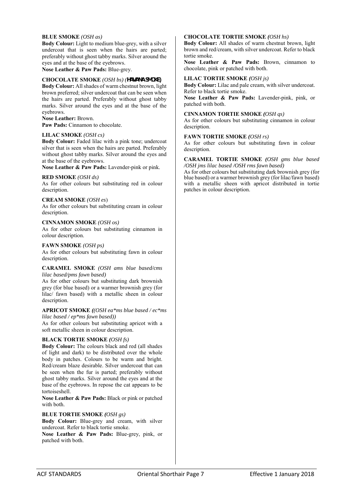### **BLUE SMOKE** *(OSH as)*

**Body Colour:** Light to medium blue-grey, with a silver undercoat that is seen when the hairs are parted; preferably without ghost tabby marks. Silver around the eyes and at the base of the eyebrows. **Nose Leather & Paw Pads:** Blue-grey.

# **CHOCOLATE SMOKE** *(OSH bs) (***HAVANA SMOKE)**

**Body Colour:** All shades of warm chestnut brown, light brown preferred; silver undercoat that can be seen when the hairs are parted. Preferably without ghost tabby marks. Silver around the eyes and at the base of the eyebrows.

### **Nose Leather:** Brown.

Paw Pads: Cinnamon to chocolate.

### **LILAC SMOKE** *(OSH cs)*

**Body Colour:** Faded lilac with a pink tone; undercoat silver that is seen when the hairs are parted. Preferably without ghost tabby marks. Silver around the eyes and at the base of the eyebrows.

**Nose Leather & Paw Pads:** Lavender-pink or pink.

### **RED SMOKE** *(OSH ds)*

As for other colours but substituting red in colour description.

### **CREAM SMOKE** *(OSH es*)

As for other colours but substituting cream in colour description.

### **CINNAMON SMOKE** *(OSH os)*

As for other colours but substituting cinnamon in colour description.

### **FAWN SMOKE** *(OSH ps)*

As for other colours but substituting fawn in colour description.

### **CARAMEL SMOKE** *(OSH ams blue based/cms lilac based/pms fawn based)*

As for other colours but substituting dark brownish grey (for blue based) or a warmer brownish grey (for lilac/ fawn based) with a metallic sheen in colour description.

#### **APRICOT SMOKE** *((OSH ea\*ms blue based / ec\*ms lilac based / ep\*ms fawn based))*

As for other colours but substituting apricot with a soft metallic sheen in colour description.

# **BLACK TORTIE SMOKE** *(OSH fs)*

**Body Colour:** The colours black and red (all shades of light and dark) to be distributed over the whole body in patches. Colours to be warm and bright. Red/cream blaze desirable. Silver undercoat that can be seen when the fur is parted; preferably without ghost tabby marks. Silver around the eyes and at the base of the eyebrows. In repose the cat appears to be tortoiseshell.

**Nose Leather & Paw Pads:** Black or pink or patched with both.

### **BLUE TORTIE SMOKE** *(OSH gs)*

**Body Colour:** Blue-grey and cream, with silver undercoat. Refer to black tortie smoke.

**Nose Leather & Paw Pads:** Blue-grey, pink, or patched with both.

# **CHOCOLATE TORTIE SMOKE** *(OSH hs)*

**Body Colour:** All shades of warm chestnut brown, light brown and red/cream, with silver undercoat. Refer to black tortie smoke.

**Nose Leather & Paw Pads:** Brown, cinnamon to chocolate, pink or patched with both.

### **LILAC TORTIE SMOKE** *(OSH js)*

**Body Colour:** Lilac and pale cream, with silver undercoat. Refer to black tortie smoke.

**Nose Leather & Paw Pads:** Lavender-pink, pink, or patched with both.

### **CINNAMON TORTIE SMOKE** *(OSH qs)*

As for other colours but substituting cinnamon in colour description.

### **FAWN TORTIE SMOKE** *(OSH rs)*

As for other colours but substituting fawn in colour description.

#### **CARAMEL TORTIE SMOKE** *(OSH gms blue based /OSH jms lilac based /OSH rms fawn based)*

As for other colours but substituting dark brownish grey (for blue based) or a warmer brownish grey (for lilac/fawn based) with a metallic sheen with apricot distributed in tortie patches in colour description.